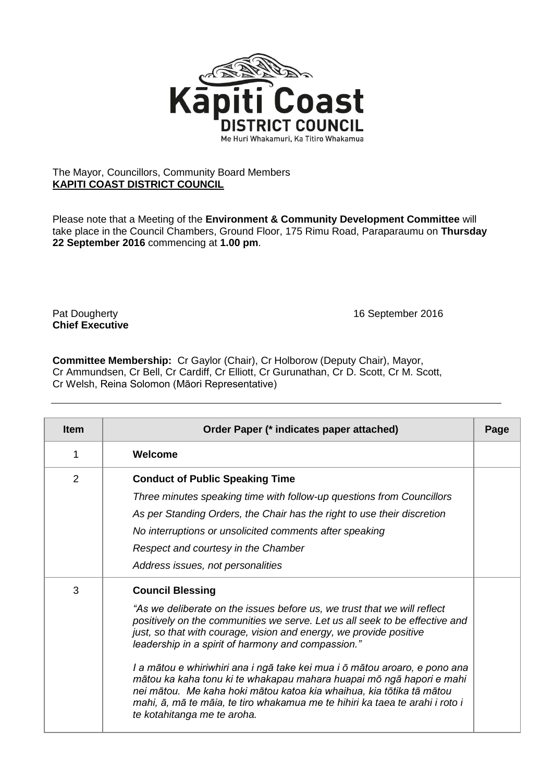

## The Mayor, Councillors, Community Board Members **KAPITI COAST DISTRICT COUNCIL**

Please note that a Meeting of the **Environment & Community Development Committee** will take place in the Council Chambers, Ground Floor, 175 Rimu Road, Paraparaumu on **Thursday 22 September 2016** commencing at **1.00 pm**.

**Chief Executive**

Pat Dougherty **16 September 2016** 

**Committee Membership:** Cr Gaylor (Chair), Cr Holborow (Deputy Chair), Mayor, Cr Ammundsen, Cr Bell, Cr Cardiff, Cr Elliott, Cr Gurunathan, Cr D. Scott, Cr M. Scott, Cr Welsh, Reina Solomon (Māori Representative)

| <b>Item</b> | Order Paper (* indicates paper attached)                                                                                                                                                                                                                                                                                                                                                                                                                                                                                                                                                                                                                    | Page |
|-------------|-------------------------------------------------------------------------------------------------------------------------------------------------------------------------------------------------------------------------------------------------------------------------------------------------------------------------------------------------------------------------------------------------------------------------------------------------------------------------------------------------------------------------------------------------------------------------------------------------------------------------------------------------------------|------|
| 1           | Welcome                                                                                                                                                                                                                                                                                                                                                                                                                                                                                                                                                                                                                                                     |      |
| 2           | <b>Conduct of Public Speaking Time</b><br>Three minutes speaking time with follow-up questions from Councillors<br>As per Standing Orders, the Chair has the right to use their discretion<br>No interruptions or unsolicited comments after speaking<br>Respect and courtesy in the Chamber<br>Address issues, not personalities                                                                                                                                                                                                                                                                                                                           |      |
| 3           | <b>Council Blessing</b><br>"As we deliberate on the issues before us, we trust that we will reflect<br>positively on the communities we serve. Let us all seek to be effective and<br>just, so that with courage, vision and energy, we provide positive<br>leadership in a spirit of harmony and compassion."<br>I a mātou e whiriwhiri ana i ngā take kei mua i ō mātou aroaro, e pono ana<br>mātou ka kaha tonu ki te whakapau mahara huapai mō ngā hapori e mahi<br>nei mātou. Me kaha hoki mātou katoa kia whaihua, kia tōtika tā mātou<br>mahi, ā, mā te māia, te tiro whakamua me te hihiri ka taea te arahi i roto i<br>te kotahitanga me te aroha. |      |